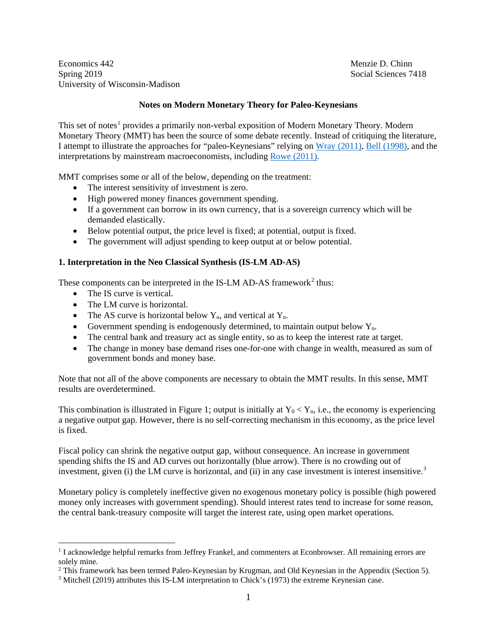Economics 442 Menzie D. Chinn Spring 2019 Social Sciences 7418 University of Wisconsin-Madison

# **Notes on Modern Monetary Theory for Paleo-Keynesians**

This set of notes<sup>[1](#page-0-0)</sup> provides a primarily non-verbal exposition of Modern Monetary Theory. Modern Monetary Theory (MMT) has been the source of some debate recently. Instead of critiquing the literature, I attempt to illustrate the approaches for "paleo-Keynesians" relying on [Wray \(2011\),](http://neweconomicperspectives.org/modern-monetary-theory-primer.html) [Bell \(1998\),](http://www.levyinstitute.org/publications/can-taxes-and-bonds-finance-government-spending) and the interpretations by mainstream macroeconomists, including [Rowe \(2011\).](https://worthwhile.typepad.com/worthwhile_canadian_initi/2011/04/reverse-engineering-the-mmt-model.html)

MMT comprises some or all of the below, depending on the treatment:

- The interest sensitivity of investment is zero.
- High powered money finances government spending.
- If a government can borrow in its own currency, that is a sovereign currency which will be demanded elastically.
- Below potential output, the price level is fixed; at potential, output is fixed.
- The government will adjust spending to keep output at or below potential.

## **1. Interpretation in the Neo Classical Synthesis (IS-LM AD-AS)**

These components can be interpreted in the IS-LM AD-AS framework<sup>[2](#page-0-1)</sup> thus:

- The IS curve is vertical.
- The LM curve is horizontal.
- The AS curve is horizontal below  $Y_n$ , and vertical at  $Y_n$ .
- Government spending is endogenously determined, to maintain output below  $Y_n$ .
- The central bank and treasury act as single entity, so as to keep the interest rate at target.
- The change in money base demand rises one-for-one with change in wealth, measured as sum of government bonds and money base.

Note that not all of the above components are necessary to obtain the MMT results. In this sense, MMT results are overdetermined.

This combination is illustrated in Figure 1; output is initially at  $Y_0 < Y_n$ , i.e., the economy is experiencing a negative output gap. However, there is no self-correcting mechanism in this economy, as the price level is fixed.

Fiscal policy can shrink the negative output gap, without consequence. An increase in government spending shifts the IS and AD curves out horizontally (blue arrow). There is no crowding out of investment, given (i) the LM curve is horizontal, and (ii) in any case investment is interest insensitive.<sup>[3](#page-0-2)</sup>

Monetary policy is completely ineffective given no exogenous monetary policy is possible (high powered money only increases with government spending). Should interest rates tend to increase for some reason, the central bank-treasury composite will target the interest rate, using open market operations.

<span id="page-0-0"></span><sup>&</sup>lt;sup>1</sup> I acknowledge helpful remarks from Jeffrey Frankel, and commenters at Econbrowser. All remaining errors are solely mine.

<span id="page-0-1"></span><sup>&</sup>lt;sup>2</sup> This framework has been termed Paleo-Keynesian by Krugman, and Old Keynesian in the Appendix (Section 5).

<span id="page-0-2"></span><sup>3</sup> Mitchell (2019) attributes this IS-LM interpretation to Chick's (1973) the extreme Keynesian case.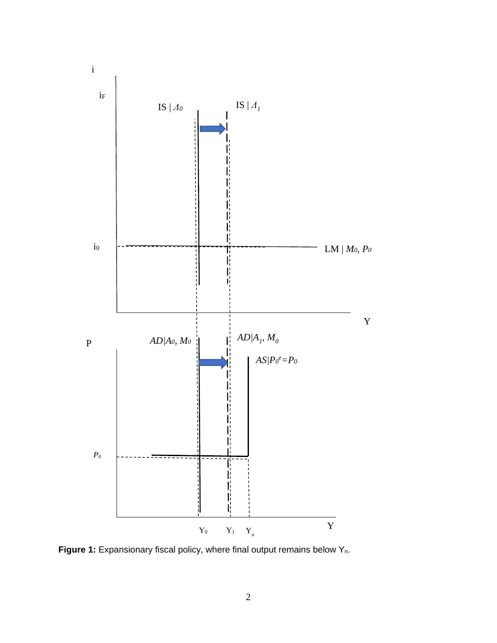

Figure 1: Expansionary fiscal policy, where final output remains below Y<sub>n</sub>.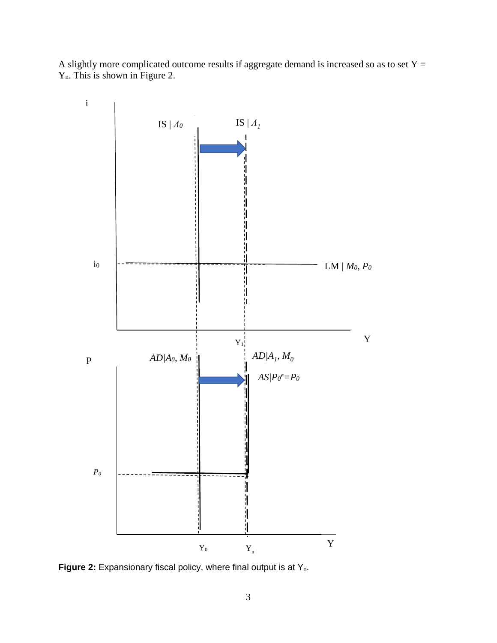A slightly more complicated outcome results if aggregate demand is increased so as to set  $Y =$ Yn. This is shown in Figure 2.



**Figure 2:** Expansionary fiscal policy, where final output is at Y<sub>n</sub>.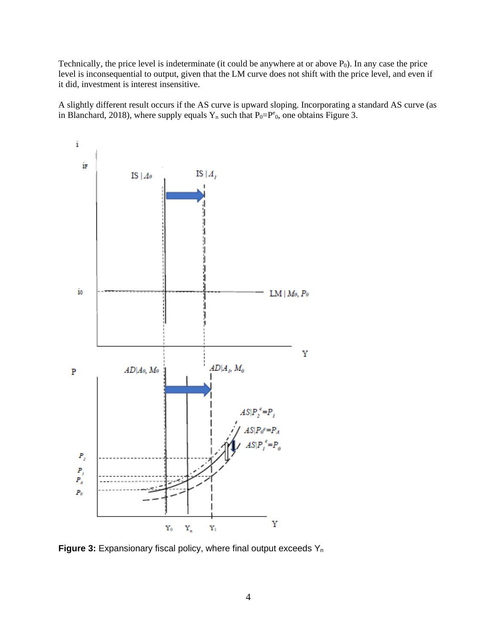Technically, the price level is indeterminate (it could be anywhere at or above  $P_0$ ). In any case the price level is inconsequential to output, given that the LM curve does not shift with the price level, and even if it did, investment is interest insensitive.

A slightly different result occurs if the AS curve is upward sloping. Incorporating a standard AS curve (as in Blanchard, 2018), where supply equals  $Y_n$  such that  $P_0 = P^e$ , one obtains Figure 3.



**Figure 3:** Expansionary fiscal policy, where final output exceeds Y<sub>n</sub>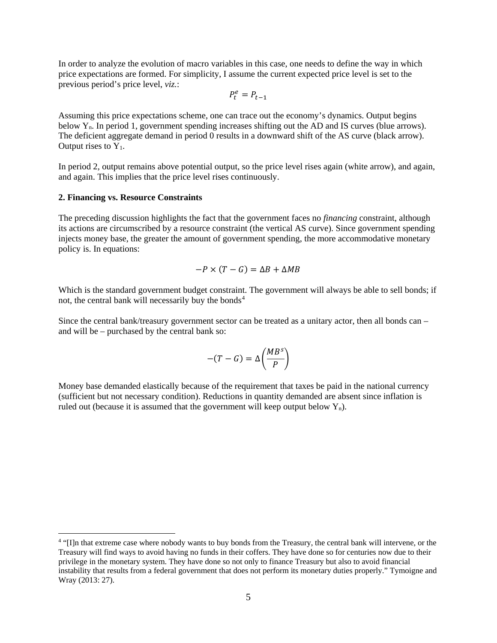In order to analyze the evolution of macro variables in this case, one needs to define the way in which price expectations are formed. For simplicity, I assume the current expected price level is set to the previous period's price level, *viz.*:

$$
P_t^e = P_{t-1}
$$

Assuming this price expectations scheme, one can trace out the economy's dynamics. Output begins below  $Y_n$ . In period 1, government spending increases shifting out the AD and IS curves (blue arrows). The deficient aggregate demand in period 0 results in a downward shift of the AS curve (black arrow). Output rises to  $Y_1$ .

In period 2, output remains above potential output, so the price level rises again (white arrow), and again, and again. This implies that the price level rises continuously.

#### **2. Financing vs. Resource Constraints**

The preceding discussion highlights the fact that the government faces no *financing* constraint, although its actions are circumscribed by a resource constraint (the vertical AS curve). Since government spending injects money base, the greater the amount of government spending, the more accommodative monetary policy is. In equations:

$$
-P \times (T - G) = \Delta B + \Delta MB
$$

Which is the standard government budget constraint. The government will always be able to sell bonds; if not, the central bank will necessarily buy the bonds<sup>[4](#page-4-0)</sup>

Since the central bank/treasury government sector can be treated as a unitary actor, then all bonds can – and will be – purchased by the central bank so:

$$
-(T-G)=\Delta\left(\frac{MB^s}{P}\right)
$$

Money base demanded elastically because of the requirement that taxes be paid in the national currency (sufficient but not necessary condition). Reductions in quantity demanded are absent since inflation is ruled out (because it is assumed that the government will keep output below  $Y_n$ ).

<span id="page-4-0"></span> <sup>4</sup> "[I]n that extreme case where nobody wants to buy bonds from the Treasury, the central bank will intervene, or the Treasury will find ways to avoid having no funds in their coffers. They have done so for centuries now due to their privilege in the monetary system. They have done so not only to finance Treasury but also to avoid financial instability that results from a federal government that does not perform its monetary duties properly." Tymoigne and Wray (2013: 27).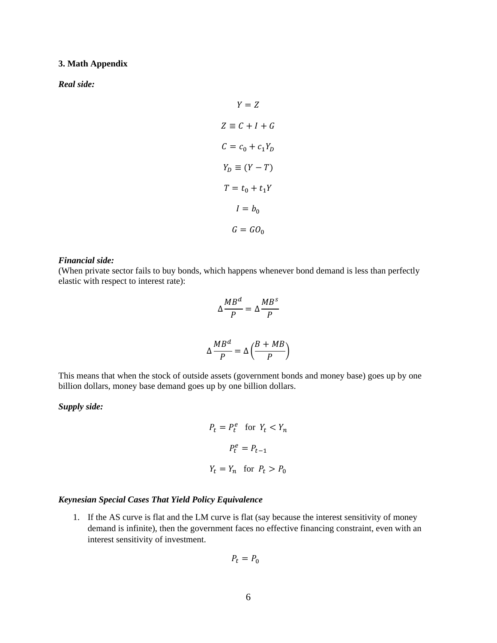#### **3. Math Appendix**

*Real side:*

$$
Y = Z
$$
  
\n
$$
Z \equiv C + I + G
$$
  
\n
$$
C = c_0 + c_1 Y_D
$$
  
\n
$$
Y_D \equiv (Y - T)
$$
  
\n
$$
T = t_0 + t_1 Y
$$
  
\n
$$
I = b_0
$$
  
\n
$$
G = G O_0
$$

#### *Financial side:*

(When private sector fails to buy bonds, which happens whenever bond demand is less than perfectly elastic with respect to interest rate):

$$
\Delta \frac{MB^d}{P} = \Delta \frac{MB^s}{P}
$$

$$
\Delta \frac{MB^d}{P} = \Delta \left(\frac{B + MB}{P}\right)
$$

This means that when the stock of outside assets (government bonds and money base) goes up by one billion dollars, money base demand goes up by one billion dollars.

# *Supply side:*

$$
P_t = P_t^e \quad \text{for } Y_t < Y_n
$$
\n
$$
P_t^e = P_{t-1}
$$
\n
$$
Y_t = Y_n \quad \text{for } P_t > P_0
$$

### *Keynesian Special Cases That Yield Policy Equivalence*

1. If the AS curve is flat and the LM curve is flat (say because the interest sensitivity of money demand is infinite), then the government faces no effective financing constraint, even with an interest sensitivity of investment.

$$
P_t = P_0
$$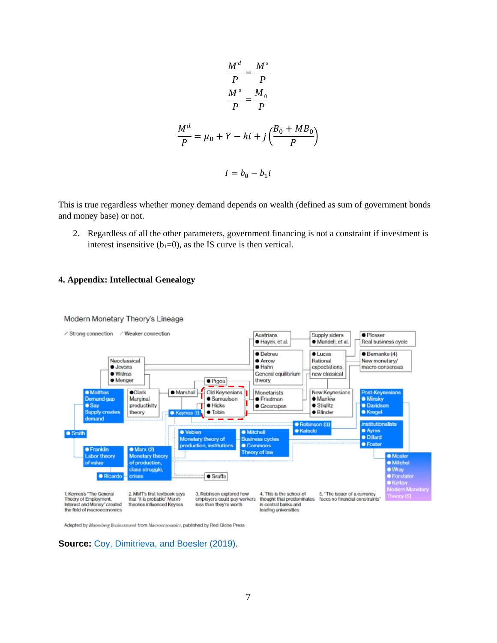$$
\frac{M^d}{P} = \frac{M^s}{P}
$$

$$
\frac{M^s}{P} = \frac{M_0}{P}
$$

$$
\frac{M^d}{P} = \mu_0 + Y - hi + j\left(\frac{B_0 + MB_0}{P}\right)
$$

$$
I = b_0 - b_1i
$$

This is true regardless whether money demand depends on wealth (defined as sum of government bonds and money base) or not.

2. Regardless of all the other parameters, government financing is not a constraint if investment is interest insensitive  $(b_1=0)$ , as the IS curve is then vertical.

### **4. Appendix: Intellectual Genealogy**



Modern Monetary Theory's Lineage

Adapted by Bloomberg Businessweek from Macroeconomics, published by Red Globe Press

**Source: [Coy, Dimitrieva, and Boesler \(2019\).](https://www.bloomberg.com/news/features/2019-03-21/modern-monetary-theory-beginner-s-guide)**